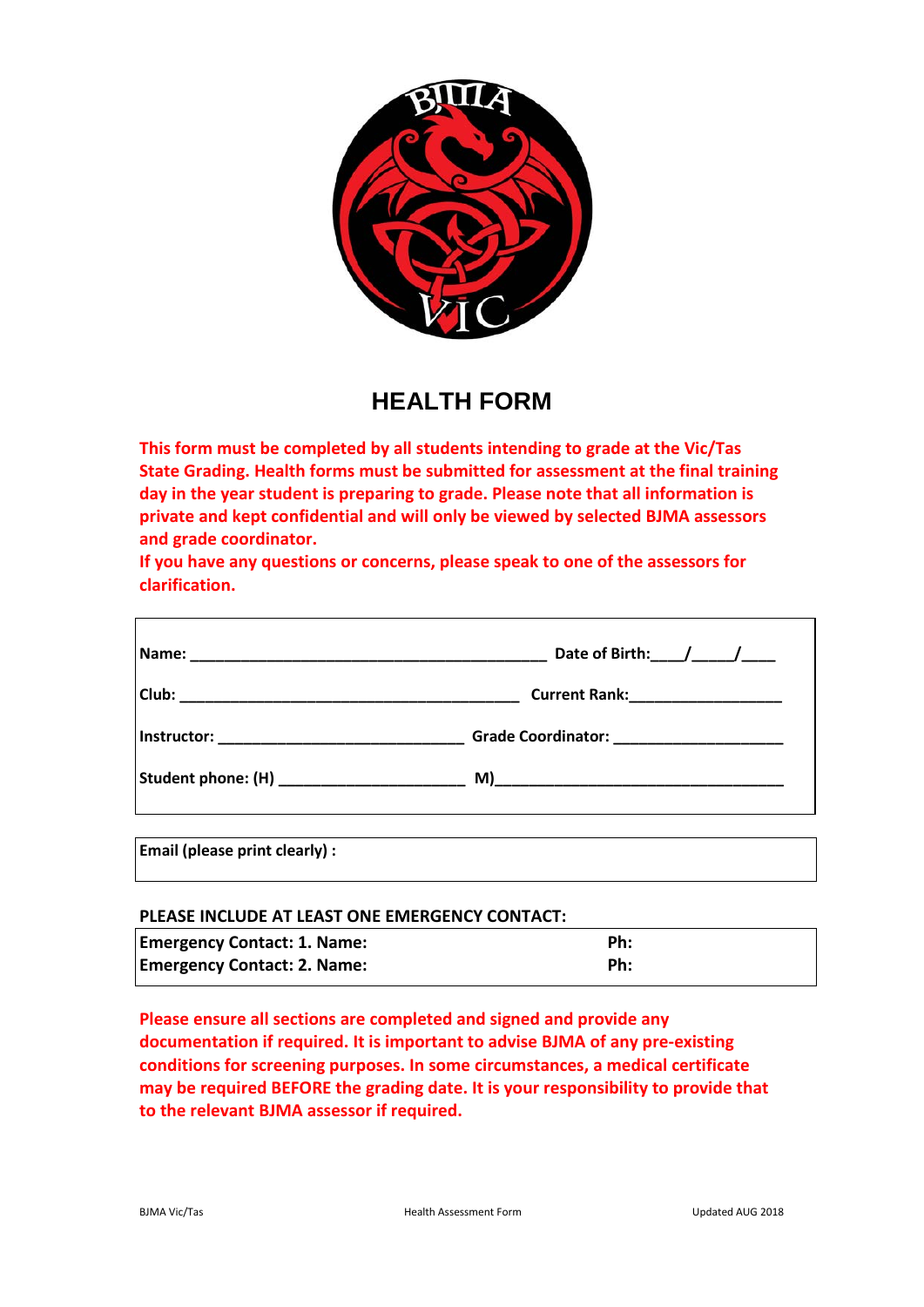

## **HEALTH FORM**

**This form must be completed by all students intending to grade at the Vic/Tas State Grading. Health forms must be submitted for assessment at the final training day in the year student is preparing to grade. Please note that all information is private and kept confidential and will only be viewed by selected BJMA assessors and grade coordinator.** 

**If you have any questions or concerns, please speak to one of the assessors for clarification.** 

|                                               | Date of Birth: $1/2$                      |
|-----------------------------------------------|-------------------------------------------|
|                                               | Current Rank:_____________________        |
|                                               | Grade Coordinator: ______________________ |
| Student phone: (H) __________________________ |                                           |
|                                               |                                           |

**Email (please print clearly) :** 

## **PLEASE INCLUDE AT LEAST ONE EMERGENCY CONTACT:**

| <b>Emergency Contact: 1. Name:</b> | Ph: |
|------------------------------------|-----|
| <b>Emergency Contact: 2. Name:</b> | Ph: |

**Please ensure all sections are completed and signed and provide any documentation if required. It is important to advise BJMA of any pre-existing conditions for screening purposes. In some circumstances, a medical certificate may be required BEFORE the grading date. It is your responsibility to provide that to the relevant BJMA assessor if required.**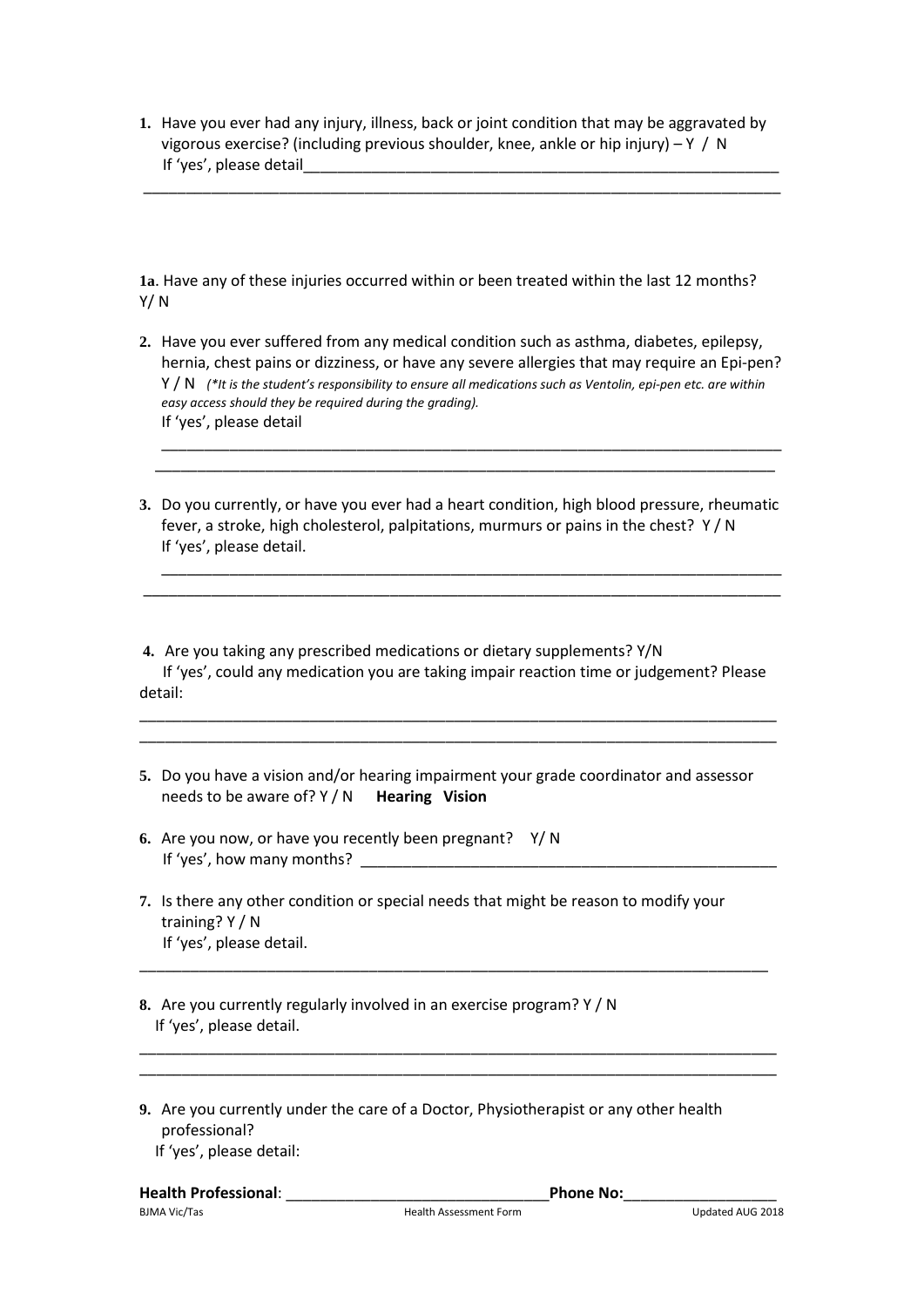**1.** Have you ever had any injury, illness, back or joint condition that may be aggravated by vigorous exercise? (including previous shoulder, knee, ankle or hip injury) – Y / N If 'yes', please detail\_\_\_\_\_\_\_\_\_\_\_\_\_\_\_\_\_\_\_\_\_\_\_\_\_\_\_\_\_\_\_\_\_\_\_\_\_\_\_\_\_\_\_\_\_\_\_\_\_\_\_\_\_\_\_\_

\_\_\_\_\_\_\_\_\_\_\_\_\_\_\_\_\_\_\_\_\_\_\_\_\_\_\_\_\_\_\_\_\_\_\_\_\_\_\_\_\_\_\_\_\_\_\_\_\_\_\_\_\_\_\_\_\_\_\_\_\_\_\_\_\_\_\_\_\_\_\_\_\_\_\_

**1a**. Have any of these injuries occurred within or been treated within the last 12 months? Y/ N

**2.** Have you ever suffered from any medical condition such as asthma, diabetes, epilepsy, hernia, chest pains or dizziness, or have any severe allergies that may require an Epi-pen? Y / N *(\*It is the student's responsibility to ensure all medications such as Ventolin, epi-pen etc. are within easy access should they be required during the grading).*  If 'yes', please detail

\_\_\_\_\_\_\_\_\_\_\_\_\_\_\_\_\_\_\_\_\_\_\_\_\_\_\_\_\_\_\_\_\_\_\_\_\_\_\_\_\_\_\_\_\_\_\_\_\_\_\_\_\_\_\_\_\_\_\_\_\_\_\_\_\_\_\_\_\_\_\_\_\_ \_\_\_\_\_\_\_\_\_\_\_\_\_\_\_\_\_\_\_\_\_\_\_\_\_\_\_\_\_\_\_\_\_\_\_\_\_\_\_\_\_\_\_\_\_\_\_\_\_\_\_\_\_\_\_\_\_\_\_\_\_\_\_\_\_\_\_\_\_\_\_\_\_

**3.** Do you currently, or have you ever had a heart condition, high blood pressure, rheumatic fever, a stroke, high cholesterol, palpitations, murmurs or pains in the chest? Y / N If 'yes', please detail.

\_\_\_\_\_\_\_\_\_\_\_\_\_\_\_\_\_\_\_\_\_\_\_\_\_\_\_\_\_\_\_\_\_\_\_\_\_\_\_\_\_\_\_\_\_\_\_\_\_\_\_\_\_\_\_\_\_\_\_\_\_\_\_\_\_\_\_\_\_\_\_\_\_ \_\_\_\_\_\_\_\_\_\_\_\_\_\_\_\_\_\_\_\_\_\_\_\_\_\_\_\_\_\_\_\_\_\_\_\_\_\_\_\_\_\_\_\_\_\_\_\_\_\_\_\_\_\_\_\_\_\_\_\_\_\_\_\_\_\_\_\_\_\_\_\_\_\_\_

**4.** Are you taking any prescribed medications or dietary supplements? Y/N If 'yes', could any medication you are taking impair reaction time or judgement? Please detail:

\_\_\_\_\_\_\_\_\_\_\_\_\_\_\_\_\_\_\_\_\_\_\_\_\_\_\_\_\_\_\_\_\_\_\_\_\_\_\_\_\_\_\_\_\_\_\_\_\_\_\_\_\_\_\_\_\_\_\_\_\_\_\_\_\_\_\_\_\_\_\_\_\_\_\_ \_\_\_\_\_\_\_\_\_\_\_\_\_\_\_\_\_\_\_\_\_\_\_\_\_\_\_\_\_\_\_\_\_\_\_\_\_\_\_\_\_\_\_\_\_\_\_\_\_\_\_\_\_\_\_\_\_\_\_\_\_\_\_\_\_\_\_\_\_\_\_\_\_\_\_

- **5.** Do you have a vision and/or hearing impairment your grade coordinator and assessor needs to be aware of? Y / N **Hearing Vision**
- **6.** Are you now, or have you recently been pregnant? Y/ N If 'yes', how many months?
- **7.** Is there any other condition or special needs that might be reason to modify your training? Y / N If 'yes', please detail.

\_\_\_\_\_\_\_\_\_\_\_\_\_\_\_\_\_\_\_\_\_\_\_\_\_\_\_\_\_\_\_\_\_\_\_\_\_\_\_\_\_\_\_\_\_\_\_\_\_\_\_\_\_\_\_\_\_\_\_\_\_\_\_\_\_\_\_\_\_\_\_\_\_\_

\_\_\_\_\_\_\_\_\_\_\_\_\_\_\_\_\_\_\_\_\_\_\_\_\_\_\_\_\_\_\_\_\_\_\_\_\_\_\_\_\_\_\_\_\_\_\_\_\_\_\_\_\_\_\_\_\_\_\_\_\_\_\_\_\_\_\_\_\_\_\_\_\_\_\_ \_\_\_\_\_\_\_\_\_\_\_\_\_\_\_\_\_\_\_\_\_\_\_\_\_\_\_\_\_\_\_\_\_\_\_\_\_\_\_\_\_\_\_\_\_\_\_\_\_\_\_\_\_\_\_\_\_\_\_\_\_\_\_\_\_\_\_\_\_\_\_\_\_\_\_

- **8.** Are you currently regularly involved in an exercise program? Y / N If 'yes', please detail.
- **9.** Are you currently under the care of a Doctor, Physiotherapist or any other health professional? If 'yes', please detail: